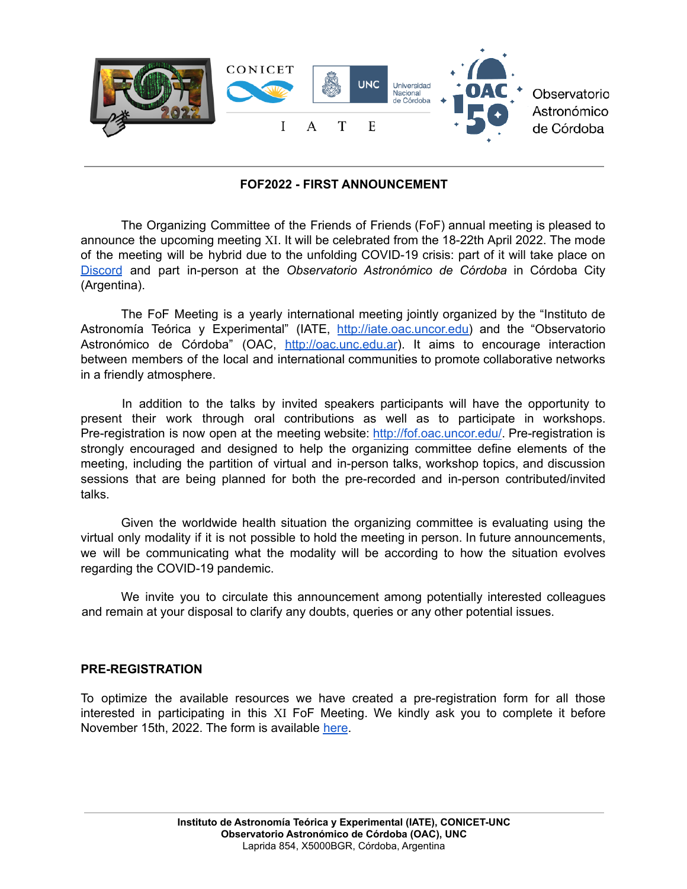

# **FOF2022 - FIRST ANNOUNCEMENT**

The Organizing Committee of the Friends of Friends (FoF) annual meeting is pleased to announce the upcoming meeting XI. It will be celebrated from the 18-22th April 2022. The mode of the meeting will be hybrid due to the unfolding COVID-19 crisis: part of it will take place on [Discord](https://discord.com/) and part in-person at the *Observatorio Astronómico de Córdoba* in Córdoba City (Argentina).

The FoF Meeting is a yearly international meeting jointly organized by the "Instituto de Astronomía Teórica y Experimental" (IATE, [http://iate.oac.uncor.edu\)](http://iate.oac.uncor.edu) and the "Observatorio Astronómico de Córdoba" (OAC, <http://oac.unc.edu.ar>). It aims to encourage interaction between members of the local and international communities to promote collaborative networks in a friendly atmosphere.

In addition to the talks by invited speakers participants will have the opportunity to present their work through oral contributions as well as to participate in workshops. Pre-registration is now open at the meeting website: <http://fof.oac.uncor.edu/>. Pre-registration is strongly encouraged and designed to help the organizing committee define elements of the meeting, including the partition of virtual and in-person talks, workshop topics, and discussion sessions that are being planned for both the pre-recorded and in-person contributed/invited talks.

Given the worldwide health situation the organizing committee is evaluating using the virtual only modality if it is not possible to hold the meeting in person. In future announcements, we will be communicating what the modality will be according to how the situation evolves regarding the COVID-19 pandemic.

We invite you to circulate this announcement among potentially interested colleagues and remain at your disposal to clarify any doubts, queries or any other potential issues.

### **PRE-REGISTRATION**

To optimize the available resources we have created a pre-registration form for all those interested in participating in this XI FoF Meeting. We kindly ask you to complete it before November 15th, 2022. The form is available [here](http://fof.oac.uncor.edu/2022/registration/).